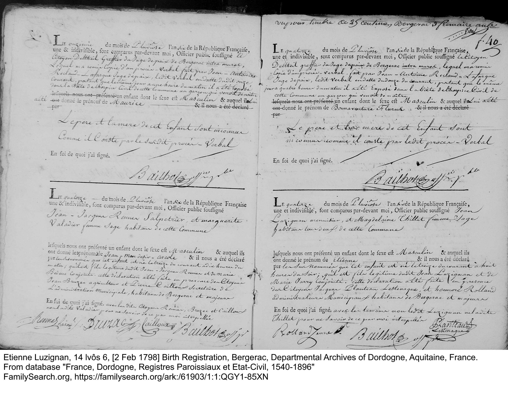vupour timbre de 35 centures, Bergerac 3 fémaire autre E onzieme du mois de Lluviere l'an six de la République Française, Le quaterze du mois de Lluviose l'an six de la République Française, Citoyen Deltheil Greffier du Juge de paix de Bergerac intra muros,<br>Leguel ma remix Copie d'un procès-Verbal fait par Jean-Antoin ... Dettheil graffier du Juge depaire de Bergerac intra murose, lequel marenner : Copie d'improver verbal. Pait par Jean-Antoine Reclaud. La farque Courant, portant que le meme jour a une heure du matin il a été taposé Juge depair, ledit verbal en datte du douze du courant, portant que le même jeura quatre heures du matin il acti Exposé dans la biete delhospice livil de défends nous ont préfendeun enfant dont le sexe est Masculin & auquel il di cette Commune un gar con qui venoit de nattre la déculin & auquel il sui acté ent-donné le prénom de Boumaventure Flurux. Et il nous a été déclaré Lepere et la mere de cet Enfant Sont incommer  $par$ Le piere et har m'ere de cet Enfant Sont Comme il Conste par le surdit procent Verbal En foi de quoi j'ai figné. En foi de quoi j'ai figné. Bailho (3 Min) IE qualorze — du mois de Lluviose l'an Se de la République Française<br>une & indivisible, sont comparus par-devant moi, Officier public soussigné Le quatorze du mois de L'avicose l'an si de la République Française, Jean - Jarques Rennes Salpetrier, et marquerite L'azignan menuisier, et Magdelaine Chillet femme Jage Valadier fémme Sage trabitain de cette Commune Jabitana tous deux de cette Commane lefquels nous ont préfenté un enfant dont le fexe est Masculin & auquel ils ont donné lesprénomité Jean-Mou desir - Arcole & il nous a été déclaré<br>parlembément que cet enfant en ne le trige du courant adix heuren du<br>matin : qu'ilest fils legitime dudit Jean-Jacques Rennes et de Marie Jagynes nous ont préfenté un enfant dont le sexe est Masculin & auquel ils<br>ont donné le prénom de literane de la confant de la lectreur et de déclaré<br>par le sus nouvement que les enfant est ne lectreur e du courrant à hoit Bésine Conjoint. Alte declaration alle faite en presence des litoyant Jean Bruzac agriculteur et Lierre l'aillous Secretaire de Marie Jarry Conjointa. cette declaration acté faite l'en presence L'administration Municipale, habitant de Bergerac et majeunt dealityen Pacquer Llanteau Lestenaque, et hommere Rolland En soi de quoi j'ai signé, avec les sites Alayeur Reinier, Bruzes et Caillours administrateurs Municipaux habitans de Bergerac et majeurs En foi de quoi j'ai signée avec les temoins non lette Luziquan nel avite Chillet pour ne savoir de ce par moi interpeller Prais Rollan Turne Bailhort of off the

Etienne Luzignan, 14 Ivôs 6, [2 Feb 1798] Birth Registration, Bergerac, Departmental Archives of Dordogne, Aquitaine, France. From database "France, Dordogne, Registres Paroissiaux et Etat-Civil, 1540-1896" FamilySearch.org, https://familysearch.org/ark:/61903/1:1:QGY1-85XN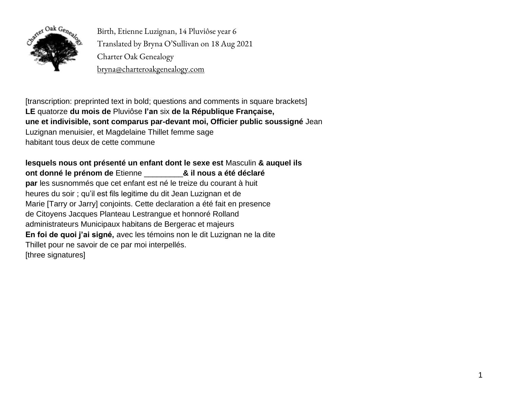

Birth, Etienne Luzignan, 14 Pluviôse year 6 Translated by Bryna O'Sullivan on 18 Aug 2021 Charter Oak Genealogy bryna@charteroakgenealogy.com

[transcription: preprinted text in bold; questions and comments in square brackets] **LE** quatorze **du mois de** Pluviôse **l'an** six **de la République Française, une et indivisible, sont comparus par-devant moi, Officier public soussigné** Jean Luzignan menuisier, et Magdelaine Thillet femme sage habitant tous deux de cette commune

**lesquels nous ont présenté un enfant dont le sexe est** Masculin **& auquel ils ont donné le prénom de** Etienne \_\_\_\_\_\_\_\_\_**& il nous a été déclaré par** les susnommés que cet enfant est né le treize du courant à huit heures du soir ; qu'il est fils legitime du dit Jean Luzignan et de Marie [Tarry or Jarry] conjoints. Cette declaration a été fait en presence de Citoyens Jacques Planteau Lestrangue et honnoré Rolland administrateurs Municipaux habitans de Bergerac et majeurs **En foi de quoi j'ai signé,** avec les témoins non le dit Luzignan ne la dite Thillet pour ne savoir de ce par moi interpellés. [three signatures]